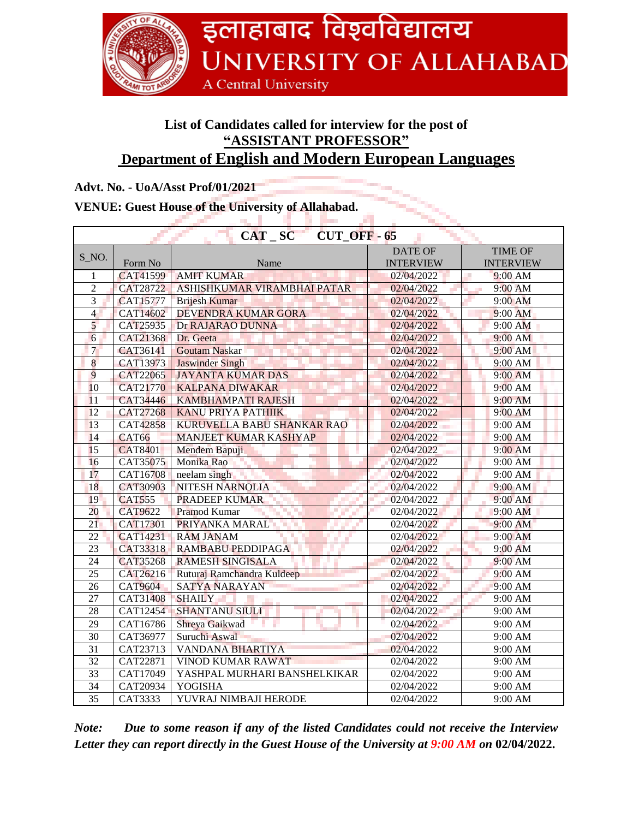

# **List of Candidates called for interview for the post of "ASSISTANT PROFESSOR" Department of English and Modern European Languages**

### **Advt. No. - UoA/Asst Prof/01/2021**

#### **VENUE: Guest House of the University of Allahabad.**

| $CAT_SC$ $CUT_OFF - 65$ |                 |                              |                  |                  |  |  |  |
|-------------------------|-----------------|------------------------------|------------------|------------------|--|--|--|
| $S_N$ .                 |                 |                              | <b>DATE OF</b>   | <b>TIME OF</b>   |  |  |  |
|                         | Form No         | Name                         | <b>INTERVIEW</b> | <b>INTERVIEW</b> |  |  |  |
| $\mathbf{1}$            | CAT41599        | <b>AMIT KUMAR</b>            | 02/04/2022       | J.<br>9:00 AM    |  |  |  |
| $\overline{2}$          | CAT28722        | ASHISHKUMAR VIRAMBHAI PATAR  | 02/04/2022       | 9:00 AM<br>m.    |  |  |  |
| $\overline{3}$          | <b>CAT15777</b> | <b>Brijesh Kumar</b>         | 02/04/2022       | 9:00 AM          |  |  |  |
| $\overline{4}$          | CAT14602        | DEVENDRA KUMAR GORA          | 02/04/2022       | 9:00 AM          |  |  |  |
| 5                       | CAT25935        | Dr RAJARAO DUNNA             | 02/04/2022       | 9:00 AM          |  |  |  |
| 6                       | CAT21368        | Dr. Geeta                    | 02/04/2022       | 9:00 AM          |  |  |  |
| $\overline{7}$          | CAT36141        | <b>Goutam Naskar</b>         | 02/04/2022       | 9:00 AM          |  |  |  |
| 8                       | CAT13973        | <b>Jaswinder Singh</b>       | 02/04/2022       | 9:00 AM          |  |  |  |
| 9                       | CAT22065        | <b>JAYANTA KUMAR DAS</b>     | 02/04/2022       | 9:00 AM          |  |  |  |
| 10                      | <b>CAT21770</b> | <b>KALPANA DIWAKAR</b>       | 02/04/2022       | 9:00 AM          |  |  |  |
| 11                      | CAT34446        | <b>KAMBHAMPATI RAJESH</b>    | 02/04/2022       | 9:00 AM          |  |  |  |
| 12                      | <b>CAT27268</b> | <b>KANU PRIYA PATHIIK</b>    | 02/04/2022       | 9:00 AM          |  |  |  |
| 13                      | CAT42858        | KURUVELLA BABU SHANKAR RAO   | 02/04/2022       | 9:00 AM          |  |  |  |
| 14                      | <b>CAT66</b>    | <b>MANJEET KUMAR KASHYAP</b> | 02/04/2022       | 9:00 AM          |  |  |  |
| 15                      | <b>CAT8401</b>  | Mendem Bapuji                | 02/04/2022       | 9:00 AM          |  |  |  |
| 16                      | CAT35075        | Monika Rao                   | 02/04/2022       | 9:00 AM          |  |  |  |
| 17                      | CAT16708        | neelam singh                 | 02/04/2022       | 9:00 AM          |  |  |  |
| 18                      | CAT30903        | <b>NITESH NARNOLIA</b>       | 02/04/2022       | 9:00 AM          |  |  |  |
| 19                      | <b>CAT555</b>   | <b>PRADEEP KUMAR</b>         | 02/04/2022       | 9:00 AM          |  |  |  |
| 20                      | <b>CAT9622</b>  | Pramod Kumar                 | 02/04/2022       | 9:00 AM          |  |  |  |
| 21                      | CAT17301        | PRIYANKA MARAL               | 02/04/2022       | 9:00 AM          |  |  |  |
| 22                      | <b>CAT14231</b> | <b>RAM JANAM</b>             | 02/04/2022       | 9:00 AM          |  |  |  |
| 23                      | CAT33318        | RAMBABU PEDDIPAGA            | 02/04/2022       | $9:00$ AM        |  |  |  |
| 24                      | <b>CAT35268</b> | <b>RAMESH SINGISALA</b>      | 02/04/2022       | $9:00$ AM        |  |  |  |
| 25                      | CAT26216        | Ruturaj Ramchandra Kuldeep   | 02/04/2022       | 9:00 AM          |  |  |  |
| 26                      | <b>CAT9604</b>  | SATYA NARAYAN                | 02/04/2022       | 9:00 AM          |  |  |  |
| 27                      | CAT31408        | <b>SHAILY</b>                | 02/04/2022       | 9:00 AM          |  |  |  |
| 28                      | CAT12454        | <b>SHANTANU SIULI</b>        | 02/04/2022       | 9:00 AM          |  |  |  |
| 29                      | CAT16786        | Shreya Gaikwad               | 02/04/2022       | 9:00 AM          |  |  |  |
| $\overline{30}$         | CAT36977        | Suruchi Aswal                | 02/04/2022       | 9:00 AM          |  |  |  |
| 31                      | CAT23713        | <b>VANDANA BHARTIYA</b>      | 02/04/2022       | 9:00 AM          |  |  |  |
| $\overline{32}$         | CAT22871        | VINOD KUMAR RAWAT            | 02/04/2022       | 9:00 AM          |  |  |  |
| $\overline{33}$         | CAT17049        | YASHPAL MURHARI BANSHELKIKAR | 02/04/2022       | 9:00 AM          |  |  |  |
| $\overline{34}$         | CAT20934        | <b>YOGISHA</b>               | 02/04/2022       | 9:00 AM          |  |  |  |
| $\overline{35}$         | CAT3333         | YUVRAJ NIMBAJI HERODE        | 02/04/2022       | 9:00 AM          |  |  |  |

*Note: Due to some reason if any of the listed Candidates could not receive the Interview Letter they can report directly in the Guest House of the University at 9:00 AM on* **02/04/2022.**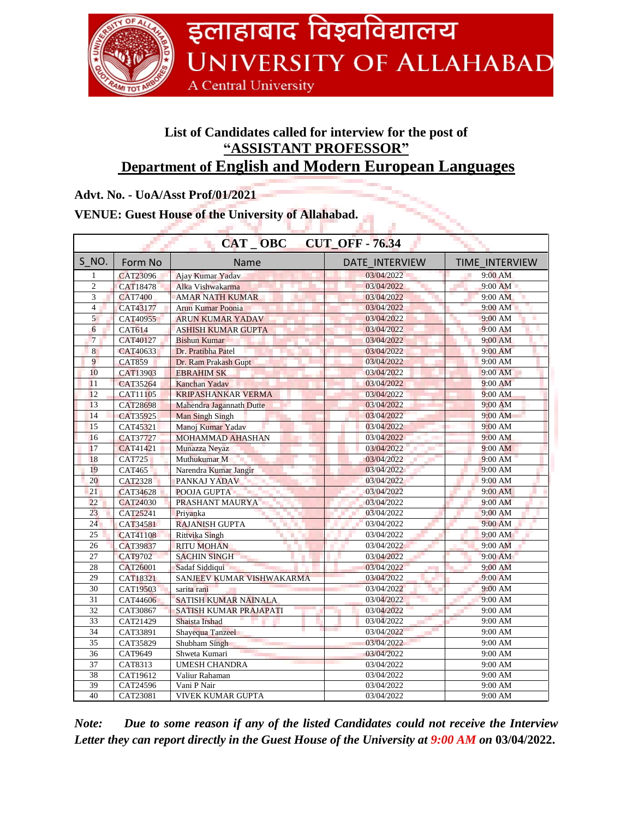

# **List of Candidates called for interview for the post of "ASSISTANT PROFESSOR" Department of English and Modern European Languages**

## **Advt. No. - UoA/Asst Prof/01/2021**

# **VENUE: Guest House of the University of Allahabad.**

| CAT OBC<br><b>CUT OFF - 76.34</b> |                 |                                   |                   |                       |  |  |  |
|-----------------------------------|-----------------|-----------------------------------|-------------------|-----------------------|--|--|--|
| S NO.                             | Form No         | Name                              | DATE INTERVIEW    | <b>TIME INTERVIEW</b> |  |  |  |
| $\mathbf{1}$                      | CAT23096        | Ajay Kumar Yadav                  | 03/04/2022        | $9:00$ AM             |  |  |  |
| $\overline{c}$                    | CAT18478        | Alka Vishwakarma                  | 03/04/2022        | 9:00 AM               |  |  |  |
| 3                                 | <b>CAT7400</b>  | <b>AMAR NATH KUMAR</b>            | 03/04/2022        | 9:00 AM               |  |  |  |
| $\overline{4}$                    | CAT43177        | <b>Arun Kumar Poonia</b>          | 03/04/2022        | 9:00 AM               |  |  |  |
| 5                                 | CAT40955        | <b>ARUN KUMAR YADAV</b>           | 03/04/2022        | 9:00 AM               |  |  |  |
| 6                                 | <b>CAT614</b>   | <b>ASHISH KUMAR GUPTA</b>         | 03/04/2022        | 9:00 AM               |  |  |  |
| $\overline{7}$                    | CAT40127        | <b>Bishun Kumar</b>               | 03/04/2022        | 9:00 AM               |  |  |  |
| 8                                 | CAT40633        | Dr. Pratibha Patel                | 03/04/2022        | $9:00$ AM             |  |  |  |
| 9                                 | <b>CAT859</b>   | Dr. Ram Prakash Gupt              | 03/04/2022        | 9:00 AM               |  |  |  |
| 10                                | CAT13903        | <b>EBRAHIM SK</b>                 | 03/04/2022        | 9:00 AM               |  |  |  |
| 11                                | CAT35264        | Kanchan Yadav                     | 03/04/2022        | $9:00$ AM             |  |  |  |
| 12                                | CAT11105        | <b>KRIPASHANKAR VERMA</b>         | 03/04/2022        | 9:00 AM               |  |  |  |
| 13                                | <b>CAT28698</b> | Mahendra Jagannath Dutte          | 03/04/2022        | 9:00 AM               |  |  |  |
| 14                                | CAT35925        | Man Singh Singh                   | 03/04/2022        | $9:00$ AM             |  |  |  |
| 15                                | CAT45321        | Manoj Kumar Yadav                 | 03/04/2022        | 9:00 AM               |  |  |  |
| 16                                | CAT37727        | <b>MOHAMMAD AHASHAN</b>           | 03/04/2022        | 9:00 AM               |  |  |  |
| 17                                | CAT41421        | Munazza Neyaz                     | 03/04/2022        | 9:00 AM               |  |  |  |
| 18                                | <b>CAT725</b>   | Muthukumar M                      | 03/04/2022        | 9:00 AM               |  |  |  |
| 19                                | <b>CAT465</b>   | Narendra Kumar Jangir             | 03/04/2022        | 9:00 AM               |  |  |  |
| 20                                | <b>CAT2328</b>  | PANKAJ YADAV                      | 03/04/2022        | 9:00 AM               |  |  |  |
| 21                                | CAT34628        | POOJA GUPTA                       | 03/04/2022        | 9:00 AM               |  |  |  |
| 22                                | CAT24030        | PRASHANT MAURYA                   | 03/04/2022        | $9:00$ AM             |  |  |  |
| 23                                | CAT25241        | Priyanka                          | 03/04/2022        | 9:00 AM               |  |  |  |
| 24                                | CAT34581        | <b>RAJANISH GUPTA</b>             | 03/04/2022        | 9:00 AM               |  |  |  |
| $\overline{25}$                   | <b>CAT41108</b> | <b>Rittvika Singh</b><br>m.<br>T. | 03/04/2022        | 9:00 AM               |  |  |  |
| 26                                | CAT39837        | <b>RITU MOHAN</b>                 | 03/04/2022        | 9:00 AM               |  |  |  |
| 27                                | <b>CAT9702</b>  | <b>SACHIN SINGH</b>               | 03/04/2022        | 9:00 AM               |  |  |  |
| 28                                | CAT26001        | Sadaf Siddiqui                    | 03/04/2022<br>a i | 9:00 AM               |  |  |  |
| 29                                | <b>CAT18321</b> | SANJEEV KUMAR VISHWAKARMA         | 03/04/2022        | 9:00 AM               |  |  |  |
| 30                                | CAT19503        | sarita rani                       | 03/04/2022        | 9:00 AM               |  |  |  |
| 31                                | CAT44606        | SATISH KUMAR NAINALA              | 03/04/2022        | 9:00 AM               |  |  |  |
| $\overline{32}$                   | CAT30867        | SATISH KUMAR PRAJAPATI            | 03/04/2022        | 9:00 AM               |  |  |  |
| 33                                | CAT21429        | Shaista Irshad                    | 03/04/2022        | 9:00 AM               |  |  |  |
| 34                                | CAT33891        | Shayequa Tanzeel                  | 03/04/2022        | 9:00 AM               |  |  |  |
| 35                                | CAT35829        | Shubham Singh                     | 03/04/2022        | 9:00 AM               |  |  |  |
| 36                                | CAT9649         | Shweta Kumari                     | 03/04/2022        | 9:00 AM               |  |  |  |
| 37                                | CAT8313         | <b>UMESH CHANDRA</b>              | 03/04/2022        | 9:00 AM               |  |  |  |
| 38                                | CAT19612        | Valiur Rahaman                    | 03/04/2022        | 9:00 AM               |  |  |  |
| 39                                | CAT24596        | Vani P Nair                       | 03/04/2022        | 9:00 AM               |  |  |  |
| 40                                | CAT23081        | VIVEK KUMAR GUPTA                 | 03/04/2022        | 9:00 AM               |  |  |  |

*Note: Due to some reason if any of the listed Candidates could not receive the Interview Letter they can report directly in the Guest House of the University at 9:00 AM on* **03/04/2022.**